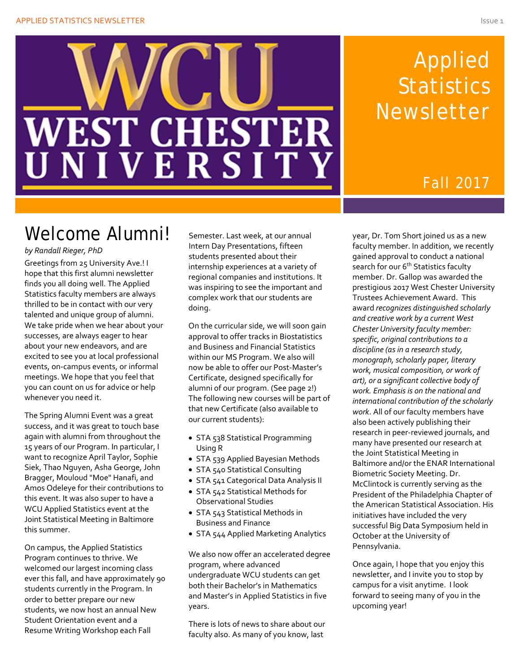

# Applied **Statistics** Newsletter

### Fall 2017

## Welcome Alumni!

#### *by Randall Rieger, PhD*

Greetings from 25 University Ave.! I hope that this first alumni newsletter finds you all doing well. The Applied Statistics faculty members are always thrilled to be in contact with our very talented and unique group of alumni. We take pride when we hear about your successes, are always eager to hear about your new endeavors, and are excited to see you at local professional events, on-campus events, or informal meetings. We hope that you feel that you can count on us for advice or help whenever you need it.

The Spring Alumni Event was a great success, and it was great to touch base again with alumni from throughout the 15 years of our Program. In particular, I want to recognize April Taylor, Sophie Siek, Thao Nguyen, Asha George, John Bragger, Mouloud "Moe" Hanafi, and Amos Odeleye for their contributions to this event. It was also super to have a WCU Applied Statistics event at the Joint Statistical Meeting in Baltimore this summer.

On campus, the Applied Statistics Program continues to thrive. We welcomed our largest incoming class ever this fall, and have approximately 90 students currently in the Program. In order to better prepare our new students, we now host an annual New Student Orientation event and a Resume Writing Workshop each Fall

Semester. Last week, at our annual Intern Day Presentations, fifteen students presented about their internship experiences at a variety of regional companies and institutions. It was inspiring to see the important and complex work that our students are doing.

On the curricular side, we will soon gain approval to offer tracks in Biostatistics and Business and Financial Statistics within our MS Program. We also will now be able to offer our Post-Master's Certificate, designed specifically for alumni of our program. (See page 2!) The following new courses will be part of that new Certificate (also available to our current students):

- STA 538 Statistical Programming Using R
- STA 539 Applied Bayesian Methods
- STA 540 Statistical Consulting
- STA 541 Categorical Data Analysis II
- STA 542 Statistical Methods for Observational Studies
- STA 543 Statistical Methods in Business and Finance
- STA 544 Applied Marketing Analytics

We also now offer an accelerated degree program, where advanced undergraduate WCU students can get both their Bachelor's in Mathematics and Master's in Applied Statistics in five years.

There is lots of news to share about our faculty also. As many of you know, last

year, Dr. Tom Short joined us as a new faculty member. In addition, we recently gained approval to conduct a national search for our 6<sup>th</sup> Statistics faculty member. Dr. Gallop was awarded the prestigious 2017 West Chester University Trustees Achievement Award. This award *recognizes distinguished scholarly and creative work by a current West Chester University faculty member: specific, original contributions to a discipline (as in a research study, monograph, scholarly paper, literary work, musical composition, or work of art), or a significant collective body of work. Emphasis is on the national and international contribution of the scholarly work*. All of our faculty members have also been actively publishing their research in peer-reviewed journals, and many have presented our research at the Joint Statistical Meeting in Baltimore and/or the ENAR International Biometric Society Meeting. Dr. McClintock is currently serving as the President of the Philadelphia Chapter of the American Statistical Association. His initiatives have included the very successful Big Data Symposium held in October at the University of Pennsylvania.

Once again, I hope that you enjoy this newsletter, and I invite you to stop by campus for a visit anytime. I look forward to seeing many of you in the upcoming year!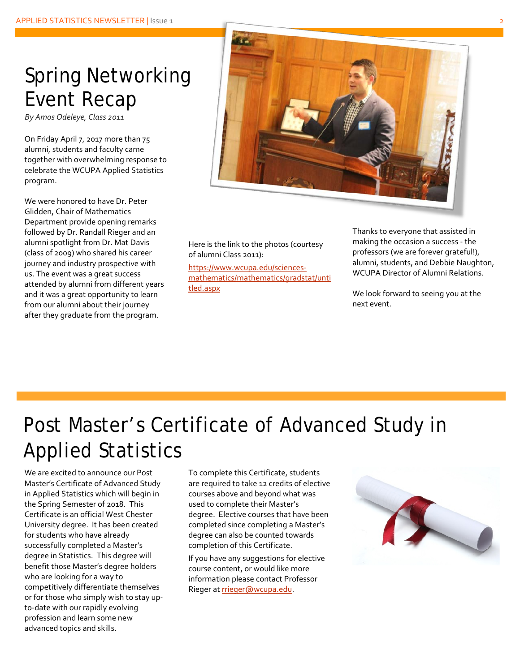### Spring Networking Event Recap

*By Amos Odeleye, Class 2011*

On Friday April 7, 2017 more than 75 alumni, students and faculty came together with overwhelming response to celebrate the WCUPA Applied Statistics program.

We were honored to have Dr. Peter Glidden, Chair of Mathematics Department provide opening remarks followed by Dr. Randall Rieger and an alumni spotlight from Dr. Mat Davis (class of 2009) who shared his career journey and industry prospective with us. The event was a great success attended by alumni from different years and it was a great opportunity to learn from our alumni about their journey after they graduate from the program.



Here is the link to the photos (courtesy of alumni Class 2011):

[https://www.wcupa.edu/sciences](https://www.wcupa.edu/sciences-mathematics/mathematics/gradstat/untitled.aspx)[mathematics/mathematics/gradstat/unti](https://www.wcupa.edu/sciences-mathematics/mathematics/gradstat/untitled.aspx) [tled.aspx](https://www.wcupa.edu/sciences-mathematics/mathematics/gradstat/untitled.aspx)

Thanks to everyone that assisted in making the occasion a success - the professors (we are forever grateful!), alumni, students, and Debbie Naughton, WCUPA Director of Alumni Relations.

We look forward to seeing you at the next event.

# Post Master's Certificate of Advanced Study in Applied Statistics

We are excited to announce our Post Master's Certificate of Advanced Study in Applied Statistics which will begin in the Spring Semester of 2018. This Certificate is an official West Chester University degree. It has been created for students who have already successfully completed a Master's degree in Statistics. This degree will benefit those Master's degree holders who are looking for a way to competitively differentiate themselves or for those who simply wish to stay upto-date with our rapidly evolving profession and learn some new advanced topics and skills.

To complete this Certificate, students are required to take 12 credits of elective courses above and beyond what was used to complete their Master's degree. Elective courses that have been completed since completing a Master's degree can also be counted towards completion of this Certificate.

If you have any suggestions for elective course content, or would like more information please contact Professor Rieger at [rrieger@wcupa.edu.](mailto:rrieger@wcupa.edu)

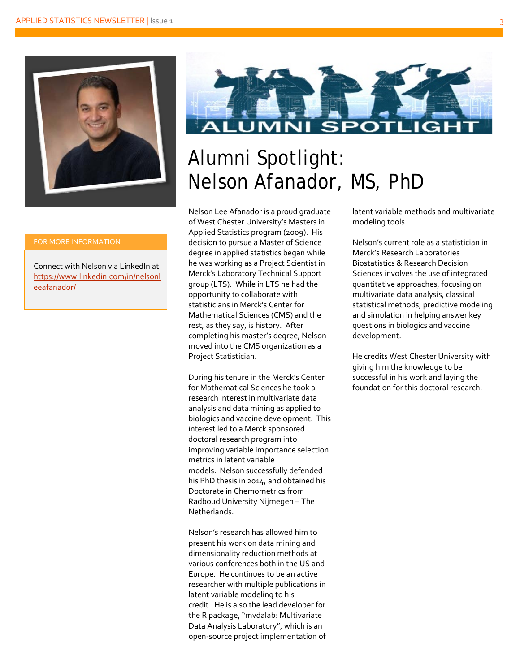

Connect with Nelson via LinkedIn at [https://www.linkedin.com/in/nelsonl](https://www.linkedin.com/in/nelsonleeafanador/) [eeafanador/](https://www.linkedin.com/in/nelsonleeafanador/)



# Alumni Spotlight: Nelson Afanador, MS, PhD

Nelson Lee Afanador is a proud graduate of West Chester University's Masters in Applied Statistics program (2009). His decision to pursue a Master of Science degree in applied statistics began while he was working as a Project Scientist in Merck's Laboratory Technical Support group (LTS). While in LTS he had the opportunity to collaborate with statisticians in Merck's Center for Mathematical Sciences (CMS) and the rest, as they say, is history. After completing his master's degree, Nelson moved into the CMS organization as a Project Statistician.

During his tenure in the Merck's Center for Mathematical Sciences he took a research interest in multivariate data analysis and data mining as applied to biologics and vaccine development. This interest led to a Merck sponsored doctoral research program into improving variable importance selection metrics in latent variable models. Nelson successfully defended his PhD thesis in 2014, and obtained his Doctorate in Chemometrics from Radboud University Nijmegen – The Netherlands.

Nelson's research has allowed him to present his work on data mining and dimensionality reduction methods at various conferences both in the US and Europe. He continues to be an active researcher with multiple publications in latent variable modeling to his credit. He is also the lead developer for the R package, "mvdalab: Multivariate Data Analysis Laboratory", which is an open-source project implementation of latent variable methods and multivariate modeling tools.

Nelson's current role as a statistician in Merck's Research Laboratories Biostatistics & Research Decision Sciences involves the use of integrated quantitative approaches, focusing on multivariate data analysis, classical statistical methods, predictive modeling and simulation in helping answer key questions in biologics and vaccine development.

He credits West Chester University with giving him the knowledge to be successful in his work and laying the foundation for this doctoral research.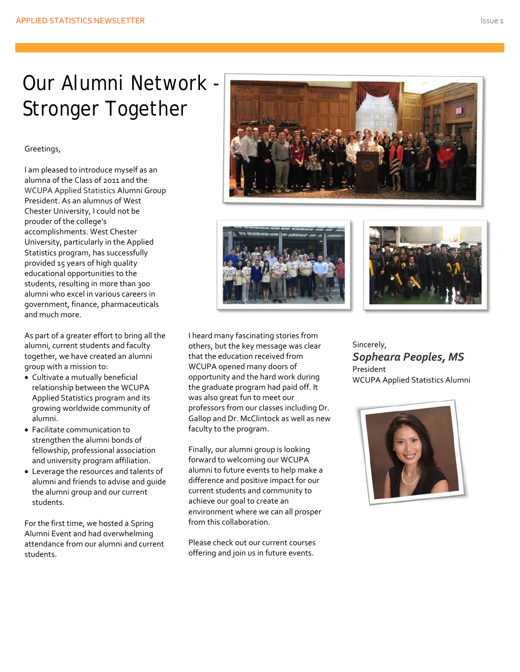# Our Alumni Network - Stronger Together

#### Greetings,

I am pleased to introduce myself as an alumna of the Class of 2011 and the WCUPA Applied Statistics Alumni Group President. As an alumnus of West Chester University, I could not be prouder of the college's accomplishments. West Chester University, particularly in the Applied Statistics program, has successfully provided 15 years of high quality educational opportunities to the students, resulting in more than 300 alumni who excel in various careers in government, finance, pharmaceuticals and much more.

As part of a greater effort to bring all the alumni, current students and faculty together, we have created an alumni group with a mission to:

- Cultivate a mutually beneficial relationship between the WCUPA Applied Statistics program and its growing worldwide community of alumni.
- Facilitate communication to strengthen the alumni bonds of fellowship, professional association and university program affiliation.
- Leverage the resources and talents of alumni and friends to advise and guide the alumni group and our current students.

For the first time, we hosted a Spring Alumni Event and had overwhelming attendance from our alumni and current students.







I heard many fascinating stories from others, but the key message was clear that the education received from WCUPA opened many doors of opportunity and the hard work during the graduate program had paid off. It was also great fun to meet our professors from our classes including Dr. Gallop and Dr. McClintock as well as new faculty to the program.

Finally, our alumni group is looking forward to welcoming our WCUPA alumni to future events to help make a difference and positive impact for our current students and community to achieve our goal to create an environment where we can all prosper from this collaboration.

Please check out our current courses offering and join us in future events.

Sincerely, *Sopheara Peoples, MS* President WCUPA Applied Statistics Alumni

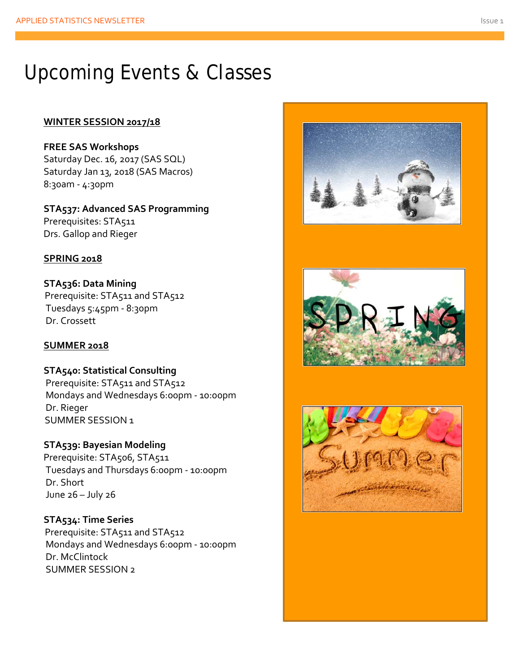## Upcoming Events & Classes

#### **WINTER SESSION 2017/18**

**FREE SAS Workshops** Saturday Dec. 16, 2017 (SAS SQL) Saturday Jan 13, 2018 (SAS Macros) 8:30am - 4:30pm

**STA537: Advanced SAS Programming** Prerequisites: STA511 Drs. Gallop and Rieger

### **SPRING 2018**

**STA536: Data Mining** Prerequisite: STA511 and STA512 Tuesdays 5:45pm - 8:30pm Dr. Crossett

#### **SUMMER 2018**

**STA540: Statistical Consulting** Prerequisite: STA511 and STA512 Mondays and Wednesdays 6:00pm - 10:00pm Dr. Rieger SUMMER SESSION 1

**STA539: Bayesian Modeling** Prerequisite: STA506, STA511 Tuesdays and Thursdays 6:00pm - 10:00pm Dr. Short June 26 – July 26

**STA534: Time Series** Prerequisite: STA511 and STA512 Mondays and Wednesdays 6:00pm - 10:00pm Dr. McClintock SUMMER SESSION 2